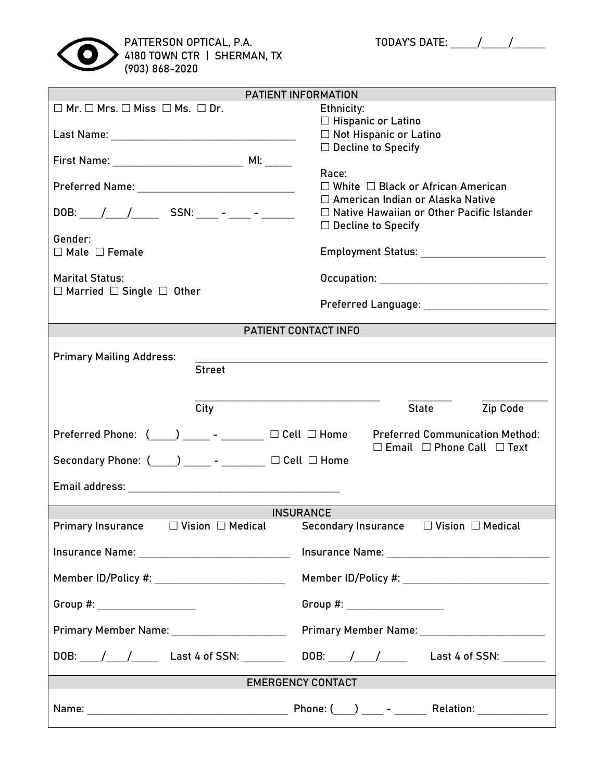

|                                                                                                                      | PATIENT INFORMATION                                       |  |  |
|----------------------------------------------------------------------------------------------------------------------|-----------------------------------------------------------|--|--|
| $\square$ Mr. $\square$ Mrs. $\square$ Miss $\square$ Ms. $\square$ Dr.                                              | Ethnicity:                                                |  |  |
|                                                                                                                      | $\Box$ Hispanic or Latino                                 |  |  |
|                                                                                                                      | □ Not Hispanic or Latino                                  |  |  |
|                                                                                                                      | $\square$ Decline to Specify                              |  |  |
|                                                                                                                      | Race:                                                     |  |  |
|                                                                                                                      | $\Box$ White $\Box$ Black or African American             |  |  |
|                                                                                                                      | □ American Indian or Alaska Native                        |  |  |
| DOB: / / / _____ SSN: ____ - ____ - ______                                                                           | $\Box$ Native Hawaiian or Other Pacific Islander          |  |  |
|                                                                                                                      | $\Box$ Decline to Specify                                 |  |  |
| Gender:                                                                                                              |                                                           |  |  |
| $\Box$ Male $\Box$ Female                                                                                            | Employment Status: __________________________             |  |  |
|                                                                                                                      |                                                           |  |  |
| <b>Marital Status:</b>                                                                                               |                                                           |  |  |
| $\Box$ Married $\Box$ Single $\Box$ Other                                                                            |                                                           |  |  |
|                                                                                                                      |                                                           |  |  |
|                                                                                                                      | PATIENT CONTACT INFO                                      |  |  |
|                                                                                                                      |                                                           |  |  |
| <b>Primary Mailing Address:</b>                                                                                      |                                                           |  |  |
| <b>Street</b>                                                                                                        |                                                           |  |  |
|                                                                                                                      |                                                           |  |  |
|                                                                                                                      |                                                           |  |  |
| City                                                                                                                 | Zip Code<br>State                                         |  |  |
| Preferred Phone: $(\_\_\_\_\_$ - ______ $\_\_$ Cell $\_\_$ Home                                                      | <b>Preferred Communication Method:</b>                    |  |  |
|                                                                                                                      | $\Box$ Email $\Box$ Phone Call $\Box$ Text                |  |  |
| Secondary Phone: $(\_\_\_\_)$ ______ - ________ $\Box$ Cell $\Box$ Home                                              |                                                           |  |  |
|                                                                                                                      |                                                           |  |  |
|                                                                                                                      |                                                           |  |  |
|                                                                                                                      |                                                           |  |  |
|                                                                                                                      | <b>INSURANCE</b>                                          |  |  |
| Primary Insurance $\Box$ Vision $\Box$ Medical Secondary Insurance $\Box$ Vision $\Box$ Medical                      |                                                           |  |  |
|                                                                                                                      |                                                           |  |  |
| Member ID/Policy #: ___________________________                                                                      |                                                           |  |  |
| Group #: ____________________                                                                                        | Group #: _____________________                            |  |  |
|                                                                                                                      |                                                           |  |  |
| Primary Member Name: _______________________                                                                         |                                                           |  |  |
|                                                                                                                      | DOB: / / / Last 4 of SSN: DOB: / / / Last 4 of SSN: _ _ _ |  |  |
|                                                                                                                      | <b>EMERGENCY CONTACT</b>                                  |  |  |
|                                                                                                                      |                                                           |  |  |
| <u> 1989 - Andrea Santa Andrea Santa Andrea Santa Andrea Santa Andrea Santa Andrea Santa Andrea Santa Andrea San</u> |                                                           |  |  |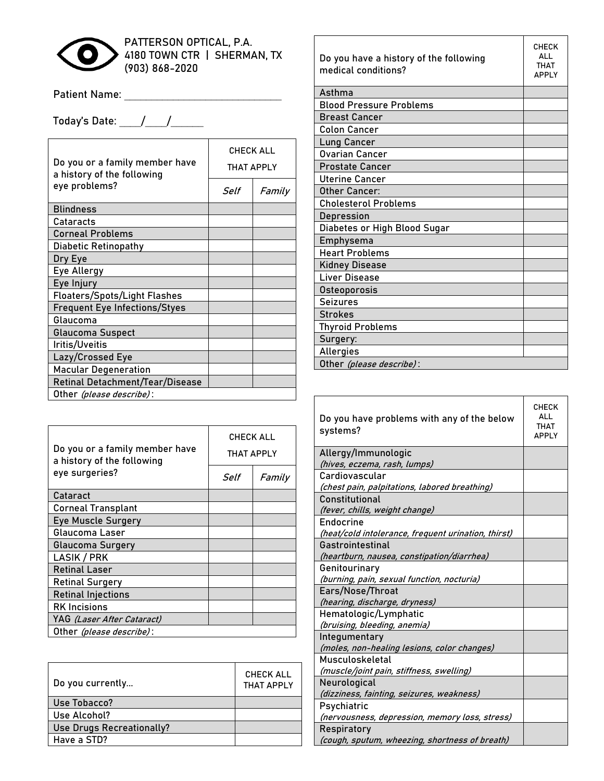

PATTERSON OPTICAL, P.A. 4180 TOWN CTR | SHERMAN, TX (903) 868-2020

Patient Name: \_\_\_\_\_\_\_\_\_\_\_\_\_\_\_\_\_\_\_\_\_\_\_\_\_\_\_\_\_

Today's Date: \_\_\_\_/\_\_\_\_/\_\_\_\_\_\_

| Do you or a family member have<br>a history of the following<br>eye problems? | <b>CHECK ALL</b><br>THAT APPLY |        |
|-------------------------------------------------------------------------------|--------------------------------|--------|
|                                                                               | Self                           | Family |
| <b>Blindness</b>                                                              |                                |        |
| Cataracts                                                                     |                                |        |
| <b>Corneal Problems</b>                                                       |                                |        |
| Diabetic Retinopathy                                                          |                                |        |
| Dry Eye                                                                       |                                |        |
| Eye Allergy                                                                   |                                |        |
| Eye Injury                                                                    |                                |        |
| <b>Floaters/Spots/Light Flashes</b>                                           |                                |        |
| <b>Frequent Eye Infections/Styes</b>                                          |                                |        |
| Glaucoma                                                                      |                                |        |
| <b>Glaucoma Suspect</b>                                                       |                                |        |
| Iritis/Uveitis                                                                |                                |        |
| Lazy/Crossed Eye                                                              |                                |        |
| <b>Macular Degeneration</b>                                                   |                                |        |
| Retinal Detachment/Tear/Disease                                               |                                |        |
| Other (please describe):                                                      |                                |        |

| Do you or a family member have<br>a history of the following<br>eye surgeries? | <b>CHECK ALL</b><br>THAT APPLY |        |
|--------------------------------------------------------------------------------|--------------------------------|--------|
|                                                                                | Self                           | Family |
| Cataract                                                                       |                                |        |
| <b>Corneal Transplant</b>                                                      |                                |        |
| <b>Eye Muscle Surgery</b>                                                      |                                |        |
| Glaucoma Laser                                                                 |                                |        |
| Glaucoma Surgery                                                               |                                |        |
| <b>LASIK / PRK</b>                                                             |                                |        |
| <b>Retinal Laser</b>                                                           |                                |        |
| <b>Retinal Surgery</b>                                                         |                                |        |
| <b>Retinal Injections</b>                                                      |                                |        |
| <b>RK</b> Incisions                                                            |                                |        |
| YAG <i>(Laser After Cataract)</i>                                              |                                |        |
| Other (please describe):                                                       |                                |        |

| Do you currently          | <b>CHECK ALL</b><br><b>THAT APPLY</b> |
|---------------------------|---------------------------------------|
| Use Tobacco?              |                                       |
| Use Alcohol?              |                                       |
| Use Drugs Recreationally? |                                       |
| Have a STD?               |                                       |

| Do you have a history of the following<br>medical conditions? | <b>CHECK</b><br>ΔII<br><b>THAT</b><br><b>APPIY</b> |
|---------------------------------------------------------------|----------------------------------------------------|
| Asthma                                                        |                                                    |
| <b>Blood Pressure Problems</b>                                |                                                    |
| <b>Breast Cancer</b>                                          |                                                    |
| <b>Colon Cancer</b>                                           |                                                    |
| <b>Lung Cancer</b>                                            |                                                    |
| <b>Ovarian Cancer</b>                                         |                                                    |
| <b>Prostate Cancer</b>                                        |                                                    |
| <b>Uterine Cancer</b>                                         |                                                    |
| Other Cancer:                                                 |                                                    |
| <b>Cholesterol Problems</b>                                   |                                                    |
| Depression                                                    |                                                    |
| Diabetes or High Blood Sugar                                  |                                                    |
| Emphysema                                                     |                                                    |
| <b>Heart Problems</b>                                         |                                                    |
| <b>Kidney Disease</b>                                         |                                                    |
| Liver Disease                                                 |                                                    |
| Osteoporosis                                                  |                                                    |
| <b>Seizures</b>                                               |                                                    |
| <b>Strokes</b>                                                |                                                    |
| <b>Thyroid Problems</b>                                       |                                                    |
| Surgery:                                                      |                                                    |
| Allergies                                                     |                                                    |
| Other <i>(please describe)</i> :                              |                                                    |

| Do you have problems with any of the below<br>systems? | <b>CHECK</b><br>ALL<br><b>THAT</b><br><b>APPLY</b> |
|--------------------------------------------------------|----------------------------------------------------|
| Allergy/Immunologic                                    |                                                    |
| (hives, eczema, rash, lumps)                           |                                                    |
| Cardiovascular                                         |                                                    |
| (chest pain, palpitations, labored breathing)          |                                                    |
| Constitutional                                         |                                                    |
| (fever, chills, weight change)                         |                                                    |
| Endocrine                                              |                                                    |
| (heat/cold intolerance, frequent urination, thirst)    |                                                    |
| Gastrointestinal                                       |                                                    |
| (heartburn, nausea, constipation/diarrhea)             |                                                    |
| Genitourinary                                          |                                                    |
| (burning, pain, sexual function, nocturia)             |                                                    |
| Ears/Nose/Throat                                       |                                                    |
| (hearing, discharge, dryness)                          |                                                    |
| Hematologic/Lymphatic                                  |                                                    |
| (bruising, bleeding, anemia)                           |                                                    |
| Integumentary                                          |                                                    |
| (moles, non-healing lesions, color changes)            |                                                    |
| Musculoskeletal                                        |                                                    |
| (muscle/joint pain, stiffness, swelling)               |                                                    |
| Neurological                                           |                                                    |
| (dizziness, fainting, seizures, weakness)              |                                                    |
| Psychiatric                                            |                                                    |
| (nervousness, depression, memory loss, stress)         |                                                    |
| Respiratory                                            |                                                    |
| (cough, sputum, wheezing, shortness of breath)         |                                                    |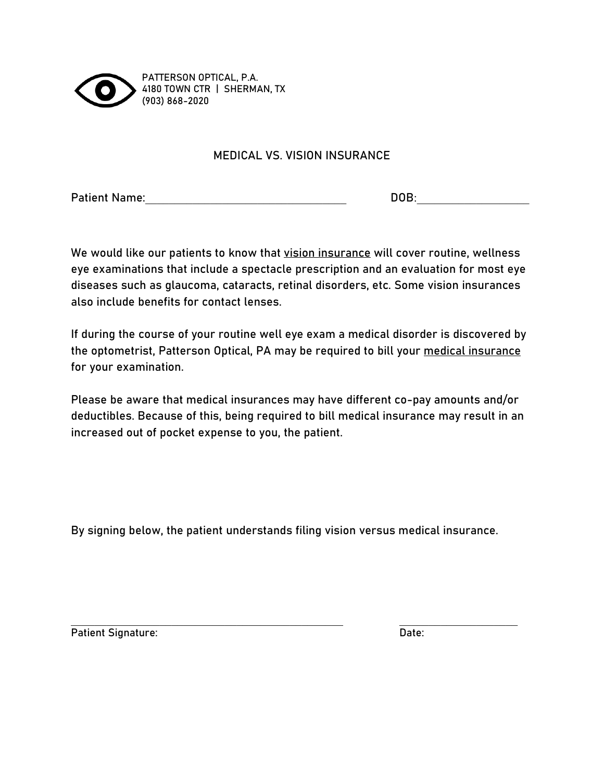

 PATTERSON OPTICAL, P.A. 4180 TOWN CTR | SHERMAN, TX (903) 868-2020

## MEDICAL VS. VISION INSURANCE

Patient Name: The contraction of the contraction of the contraction of the contraction of the contraction of the contraction of the contraction of the contraction of the contraction of the contraction of the contraction of

We would like our patients to know that vision insurance will cover routine, wellness eye examinations that include a spectacle prescription and an evaluation for most eye diseases such as glaucoma, cataracts, retinal disorders, etc. Some vision insurances also include benefits for contact lenses.

If during the course of your routine well eye exam a medical disorder is discovered by the optometrist, Patterson Optical, PA may be required to bill your medical insurance for your examination.

Please be aware that medical insurances may have different co-pay amounts and/or deductibles. Because of this, being required to bill medical insurance may result in an increased out of pocket expense to you, the patient.

By signing below, the patient understands filing vision versus medical insurance.

Patient Signature: Date: Date: Date: Date: Date: Date: Date: Date: Date: Date: Date: Date: Date: Date: Date: Date: Date: Date: Date: Date: Date: Date: Date: Date: Date: Date: Date: Date: Date: Date: Date: Date: Date: Date: